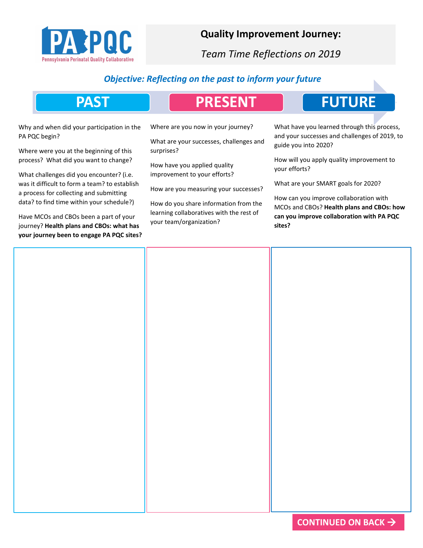

## **Quality Improvement Journey:**

*Team Time Reflections on 2019*

## *Objective: Reflecting on the past to inform your future*

| <b>PAST</b>                                                                                                                                                                                                                                                                                                          | <b>PRESENT</b>                                                                                                                                                                        | <b>FUTURE</b>                                                                                                                                                                                                                                                                                                                                                           |  |
|----------------------------------------------------------------------------------------------------------------------------------------------------------------------------------------------------------------------------------------------------------------------------------------------------------------------|---------------------------------------------------------------------------------------------------------------------------------------------------------------------------------------|-------------------------------------------------------------------------------------------------------------------------------------------------------------------------------------------------------------------------------------------------------------------------------------------------------------------------------------------------------------------------|--|
| Why and when did your participation in the<br>PA PQC begin?<br>Where were you at the beginning of this<br>process? What did you want to change?                                                                                                                                                                      | Where are you now in your journey?<br>What are your successes, challenges and<br>surprises?<br>How have you applied quality                                                           | What have you learned through this process,<br>and your successes and challenges of 2019, to<br>guide you into 2020?<br>How will you apply quality improvement to<br>your efforts?<br>What are your SMART goals for 2020?<br>How can you improve collaboration with<br>MCOs and CBOs? Health plans and CBOs: how<br>can you improve collaboration with PA PQC<br>sites? |  |
| What challenges did you encounter? (i.e.<br>was it difficult to form a team? to establish<br>a process for collecting and submitting<br>data? to find time within your schedule?)<br>Have MCOs and CBOs been a part of your<br>journey? Health plans and CBOs: what has<br>your journey been to engage PA PQC sites? | improvement to your efforts?<br>How are you measuring your successes?<br>How do you share information from the<br>learning collaboratives with the rest of<br>your team/organization? |                                                                                                                                                                                                                                                                                                                                                                         |  |